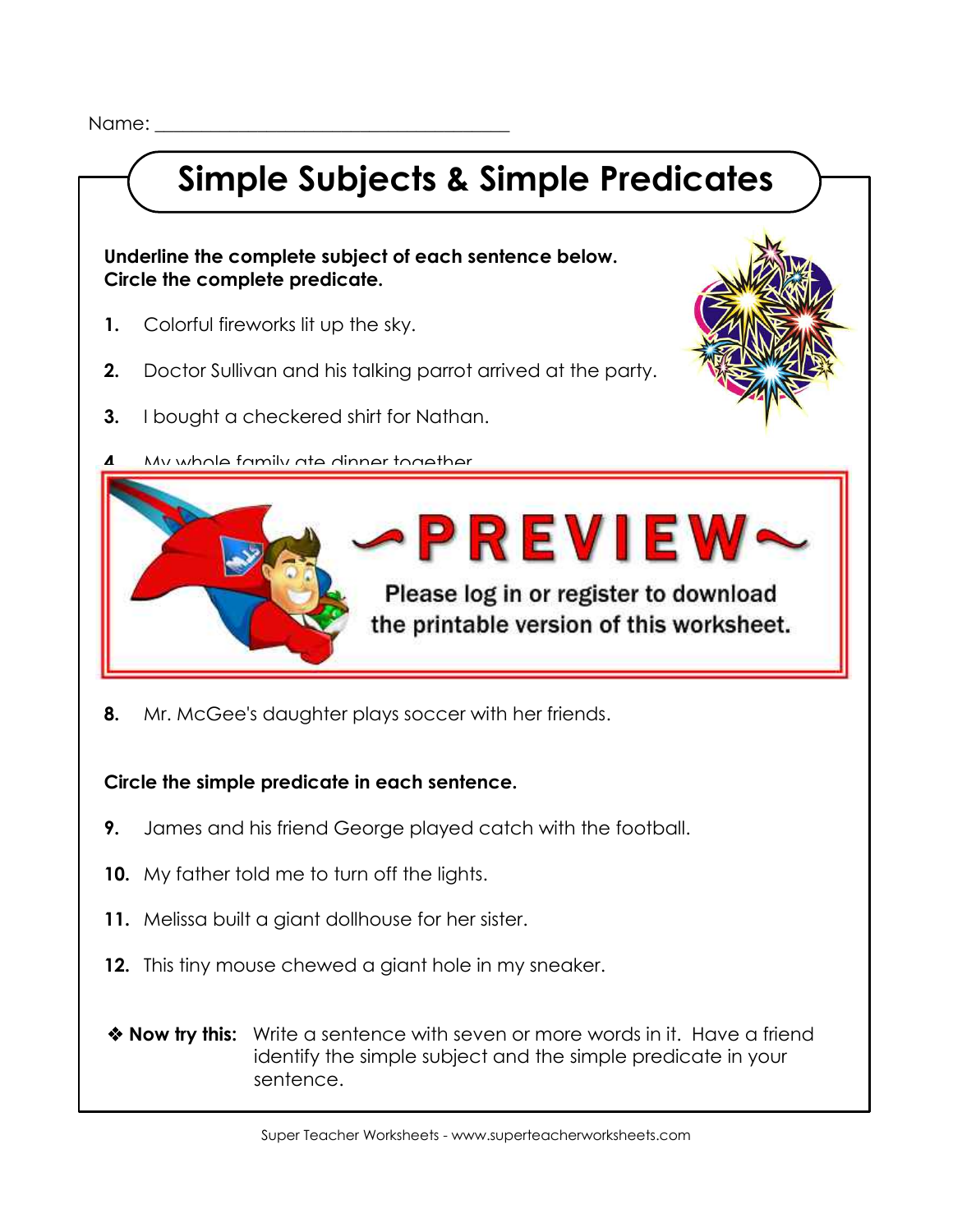Name:

## **Simple Subjects & Simple Predicates**

 **Underline the complete subject of each sentence below. Circle the complete predicate.**

- **1.** Colorful fireworks lit up the sky.
- **2.** Doctor Sullivan and his talking parrot arrived at the party.
- **3.** I bought a checkered shirt for Nathan.
- **4.** My whole family ate dinner together.



 **8.** Mr. McGee's daughter plays soccer with her friends.

 **Circle the simple predicate in each sentence.**

- **9.** James and his friend George played catch with the football.
- **10.** My father told me to turn off the lights.
- **11.** Melissa built a giant dollhouse for her sister.
- **12.** This tiny mouse chewed a giant hole in my sneaker.
- **Now try this:** Write a sentence with seven or more words in it. Have a friend identify the simple subject and the simple predicate in your sentence.